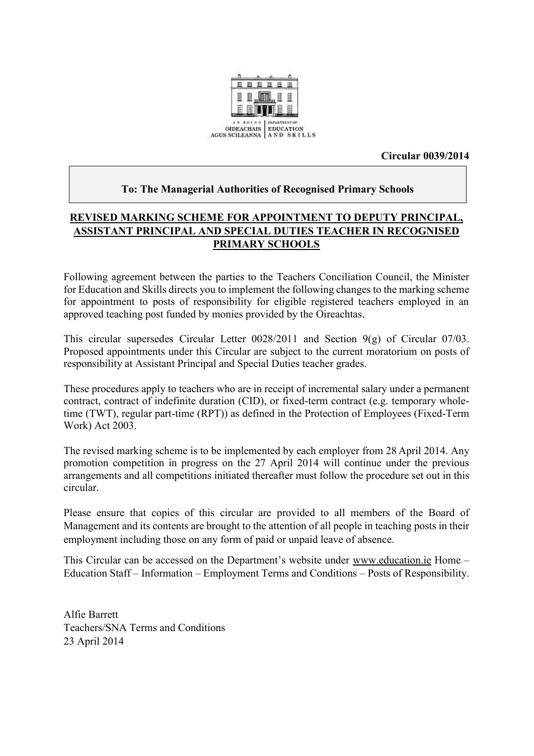

**Circular 0039/2014**

#### **To: The Managerial Authorities of Recognised Primary Schools**

## **REVISED MARKING SCHEME FOR APPOINTMENT TO DEPUTY PRINCIPAL, ASSISTANT PRINCIPAL AND SPECIAL DUTIES TEACHER IN RECOGNISED PRIMARY SCHOOLS**

Following agreement between the parties to the Teachers Conciliation Council, the Minister for Education and Skills directs you to implement the following changes to the marking scheme for appointment to posts of responsibility for eligible registered teachers employed in an approved teaching post funded by monies provided by the Oireachtas.

This circular supersedes Circular Letter 0028/2011 and Section 9(g) of Circular 07/03. Proposed appointments under this Circular are subject to the current moratorium on posts of responsibility at Assistant Principal and Special Duties teacher grades.

These procedures apply to teachers who are in receipt of incremental salary under a permanent contract, contract of indefinite duration (CID), or fixed-term contract (e.g. temporary wholetime (TWT), regular part-time (RPT)) as defined in the Protection of Employees (Fixed-Term Work) Act 2003.

The revised marking scheme is to be implemented by each employer from 28 April 2014. Any promotion competition in progress on the 27 April 2014 will continue under the previous arrangements and all competitions initiated thereafter must follow the procedure set out in this circular.

Please ensure that copies of this circular are provided to all members of the Board of Management and its contents are brought to the attention of all people in teaching posts in their employment including those on any form of paid or unpaid leave of absence.

This Circular can be accessed on the Department's website under [www.education.ie](http://www.education.ie/) Home – Education Staff – Information – Employment Terms and Conditions – Posts of Responsibility.

Alfie Barrett Teachers/SNA Terms and Conditions 23 April 2014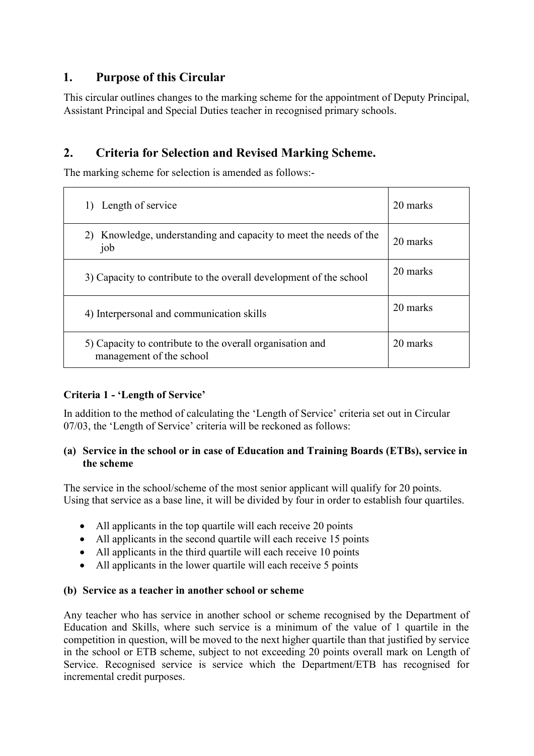# **1. Purpose of this Circular**

This circular outlines changes to the marking scheme for the appointment of Deputy Principal, Assistant Principal and Special Duties teacher in recognised primary schools.

# **2. Criteria for Selection and Revised Marking Scheme.**

The marking scheme for selection is amended as follows:-

| Length of service                                                                     | 20 marks |
|---------------------------------------------------------------------------------------|----------|
| Knowledge, understanding and capacity to meet the needs of the<br>2)<br>job           | 20 marks |
| 3) Capacity to contribute to the overall development of the school                    | 20 marks |
| 4) Interpersonal and communication skills                                             | 20 marks |
| 5) Capacity to contribute to the overall organisation and<br>management of the school | 20 marks |

## **Criteria 1 - 'Length of Service'**

In addition to the method of calculating the 'Length of Service' criteria set out in Circular 07/03, the 'Length of Service' criteria will be reckoned as follows:

#### **(a) Service in the school or in case of Education and Training Boards (ETBs), service in the scheme**

The service in the school/scheme of the most senior applicant will qualify for 20 points. Using that service as a base line, it will be divided by four in order to establish four quartiles.

- All applicants in the top quartile will each receive 20 points
- All applicants in the second quartile will each receive 15 points
- All applicants in the third quartile will each receive 10 points
- All applicants in the lower quartile will each receive 5 points

## **(b) Service as a teacher in another school or scheme**

Any teacher who has service in another school or scheme recognised by the Department of Education and Skills, where such service is a minimum of the value of 1 quartile in the competition in question, will be moved to the next higher quartile than that justified by service in the school or ETB scheme, subject to not exceeding 20 points overall mark on Length of Service. Recognised service is service which the Department/ETB has recognised for incremental credit purposes.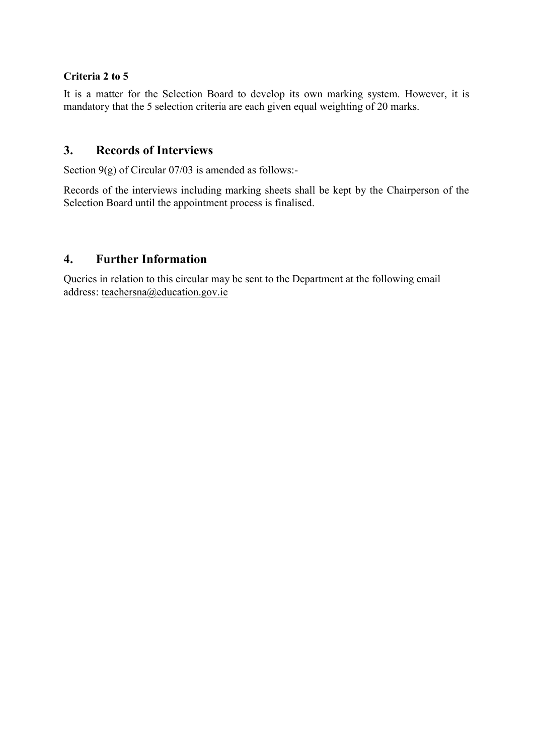#### **Criteria 2 to 5**

It is a matter for the Selection Board to develop its own marking system. However, it is mandatory that the 5 selection criteria are each given equal weighting of 20 marks.

## **3. Records of Interviews**

Section 9(g) of Circular 07/03 is amended as follows:-

Records of the interviews including marking sheets shall be kept by the Chairperson of the Selection Board until the appointment process is finalised.

## **4. Further Information**

Queries in relation to this circular may be sent to the Department at the following email address: [teachersna@education.gov.ie](mailto:teachersna@education.gov.ie)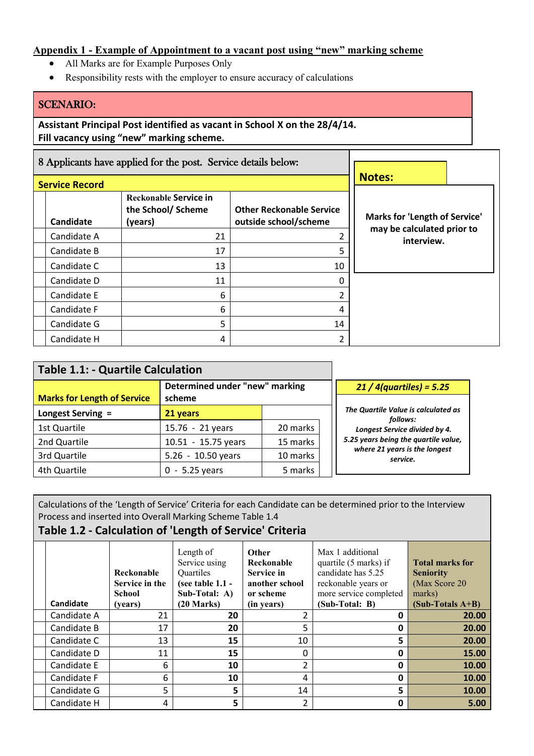#### **Appendix 1 - Example of Appointment to a vacant post using "new" marking scheme**

- All Marks are for Example Purposes Only
- Responsibility rests with the employer to ensure accuracy of calculations

#### SCENARIO:

**Assistant Principal Post identified as vacant in School X on the 28/4/14. Fill vacancy using "new" marking scheme.**

|                       | 8 Applicants have applied for the post. Service details below: |                                                          |                                          |  |  |
|-----------------------|----------------------------------------------------------------|----------------------------------------------------------|------------------------------------------|--|--|
| <b>Service Record</b> |                                                                | <b>Notes:</b>                                            |                                          |  |  |
| Candidate             | Reckonable Service in<br>the School/Scheme<br>(years)          | <b>Other Reckonable Service</b><br>outside school/scheme | Marks for 'Length of Service'            |  |  |
| Candidate A           | 21                                                             |                                                          | may be calculated prior to<br>interview. |  |  |
| Candidate B           | 17                                                             |                                                          |                                          |  |  |
| Candidate C           | 13                                                             | 10                                                       |                                          |  |  |
| Candidate D           | 11                                                             |                                                          |                                          |  |  |
| Candidate E           | 6                                                              |                                                          |                                          |  |  |
| Candidate F           | 6                                                              |                                                          |                                          |  |  |
| Candidate G           | 5                                                              | 14                                                       |                                          |  |  |
| Candidate H           | 4                                                              |                                                          |                                          |  |  |

| <b>Table 1.1: - Quartile Calculation</b>                                       |                     |          |                                                 |
|--------------------------------------------------------------------------------|---------------------|----------|-------------------------------------------------|
| Determined under "new" marking<br><b>Marks for Length of Service</b><br>scheme |                     |          | $21/4$ (quartiles) = 5.25                       |
| Longest Serving =                                                              | 21 years            |          | The Quartile Value is calculated as<br>follows: |
| 1st Quartile                                                                   | 15.76 - 21 years    | 20 marks | Longest Service divided by 4.                   |
| 2nd Quartile                                                                   | 10.51 - 15.75 years | 15 marks | 5.25 years being the quartile value,            |
| 3rd Quartile                                                                   | 5.26 - 10.50 years  | 10 marks | where 21 years is the longest<br>service.       |
| 4th Quartile                                                                   | $-5.25$ years       | 5 marks  |                                                 |

Calculations of the 'Length of Service' Criteria for each Candidate can be determined prior to the Interview Process and inserted into Overall Marking Scheme Table 1.4

## **Table 1.2 - Calculation of 'Length of Service' Criteria**

| Candidate   | Reckonable<br>Service in the<br><b>School</b><br>(years) | Length of<br>Service using<br>Quartiles<br>(see table $1.1$ -<br>Sub-Total: A)<br>$(20$ Marks) | <b>Other</b><br>Reckonable<br><b>Service in</b><br>another school<br>or scheme<br>(in years) | Max 1 additional<br>quartile (5 marks) if<br>candidate has 5.25<br>reckonable years or<br>more service completed<br>(Sub-Total: B) | <b>Total marks for</b><br><b>Seniority</b><br>(Max Score 20)<br>marks)<br>$(Sub-Totals A+B)$ |
|-------------|----------------------------------------------------------|------------------------------------------------------------------------------------------------|----------------------------------------------------------------------------------------------|------------------------------------------------------------------------------------------------------------------------------------|----------------------------------------------------------------------------------------------|
| Candidate A | 21                                                       | 20                                                                                             | 2                                                                                            | 0                                                                                                                                  | 20.00                                                                                        |
| Candidate B | 17                                                       | 20                                                                                             | 5                                                                                            | 0                                                                                                                                  | 20.00                                                                                        |
| Candidate C | 13                                                       | 15                                                                                             | 10                                                                                           | 5                                                                                                                                  | 20.00                                                                                        |
| Candidate D | 11                                                       | 15                                                                                             | $\Omega$                                                                                     | 0                                                                                                                                  | 15.00                                                                                        |
| Candidate E | 6                                                        | 10                                                                                             | 2                                                                                            | $\mathbf 0$                                                                                                                        | 10.00                                                                                        |
| Candidate F | 6                                                        | 10                                                                                             | 4                                                                                            | 0                                                                                                                                  | 10.00                                                                                        |
| Candidate G | 5                                                        | 5                                                                                              | 14                                                                                           | 5                                                                                                                                  | 10.00                                                                                        |
| Candidate H | 4                                                        | 5                                                                                              | 2                                                                                            | 0                                                                                                                                  | 5.00                                                                                         |